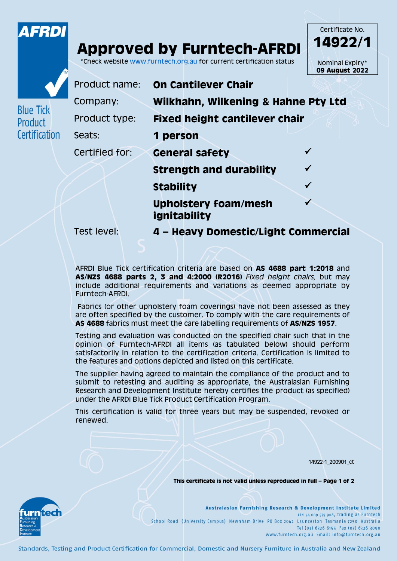

## **Approved by Furntech-AFRDI** \*Check website [www.furntech.org.au](http://www.furntech.org.au/) for current certification status

**ignitability**

**14922/1** Nominal Expiry\* **09 August 2022**

Certificate No.



**Blue Tick** Product

Certification

Product name: **On Cantilever Chair** Company: **Wilkhahn, Wilkening & Hahne Pty Ltd** Product type: **Fixed height cantilever chair** Seats: **1 person**

Certified for: **General safety**

**Strength and durability Stability Upholstery foam/mesh**  $\checkmark$ 

Test level: **4 – Heavy Domestic/Light Commercial**

AFRDI Blue Tick certification criteria are based on **AS 4688 part 1:2018** and **AS/NZS 4688 parts 2, 3 and 4:2000 (R2016)** *Fixed height chairs,* but may include additional requirements and variations as deemed appropriate by Furntech-AFRDI.

Fabrics (or other upholstery foam coverings) have not been assessed as they are often specified by the customer. To comply with the care requirements of **AS 4688** fabrics must meet the care labelling requirements of **AS/NZS 1957**.

Testing and evaluation was conducted on the specified chair such that in the opinion of Furntech-AFRDI all items (as tabulated below) should perform satisfactorily in relation to the certification criteria. Certification is limited to the features and options depicted and listed on this certificate.

The supplier having agreed to maintain the compliance of the product and to submit to retesting and auditing as appropriate, the Australasian Furnishing Research and Development Institute hereby certifies the product (as specified) under the AFRDI Blue Tick Product Certification Program.

This certification is valid for three years but may be suspended, revoked or renewed.

14922-1\_200901\_ct

**This certificate is not valid unless reproduced in full – Page 1 of 2**



Australasian Furnishing Research & Development Institute Limited ABN 44 009 579 908, trading as Furntech School Road (University Campus) Newnham Drive PO Box 2042 Launceston Tasmania 7250 Australia Tel (03) 6326 6155 Fax (03) 6326 3090 www.furntech.org.au Email: info@furntech.org.au

Standards, Testing and Product Certification for Commercial, Domestic and Nursery Furniture in Australia and New Zealand